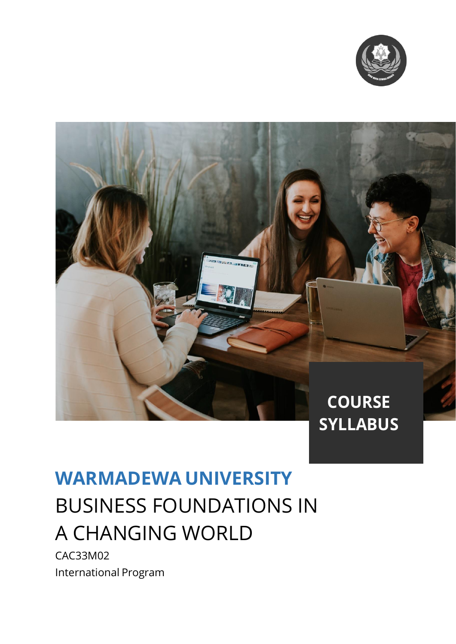



# **WARMADEWA UNIVERSITY** BUSINESS FOUNDATIONS IN A CHANGING WORLD

CAC33M02 International Program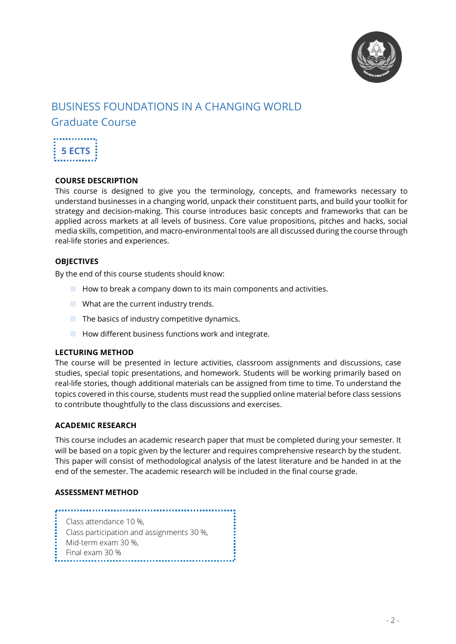

# BUSINESS FOUNDATIONS IN A CHANGING WORLD Graduate Course



#### **COURSE DESCRIPTION**

This course is designed to give you the terminology, concepts, and frameworks necessary to understand businesses in a changing world, unpack their constituent parts, and build your toolkit for strategy and decision-making. This course introduces basic concepts and frameworks that can be applied across markets at all levels of business. Core value propositions, pitches and hacks, social media skills, competition, and macro-environmental tools are all discussed during the course through real-life stories and experiences.

#### **OBJECTIVES**

By the end of this course students should know:

- $\blacksquare$  How to break a company down to its main components and activities.
- **No. 3** What are the current industry trends.
- $\blacksquare$  The basics of industry competitive dynamics.
- $\blacksquare$  How different business functions work and integrate.

#### **LECTURING METHOD**

The course will be presented in lecture activities, classroom assignments and discussions, case studies, special topic presentations, and homework. Students will be working primarily based on real-life stories, though additional materials can be assigned from time to time. To understand the topics covered in this course, students must read the supplied online material before class sessions to contribute thoughtfully to the class discussions and exercises.

#### **ACADEMIC RESEARCH**

This course includes an academic research paper that must be completed during your semester. It will be based on a topic given by the lecturer and requires comprehensive research by the student. This paper will consist of methodological analysis of the latest literature and be handed in at the end of the semester. The academic research will be included in the final course grade.

#### **ASSESSMENT METHOD**

Class attendance 10 %, Class participation and assignments 30 %, Mid-term exam 30 %, Final exam 30 %